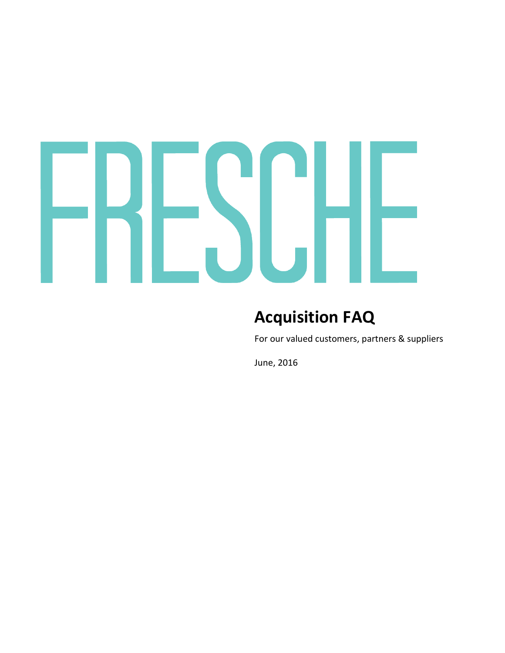### H ł  $\blacktriangledown$

### **Acquisition FAQ**

For our valued customers, partners & suppliers

June, 2016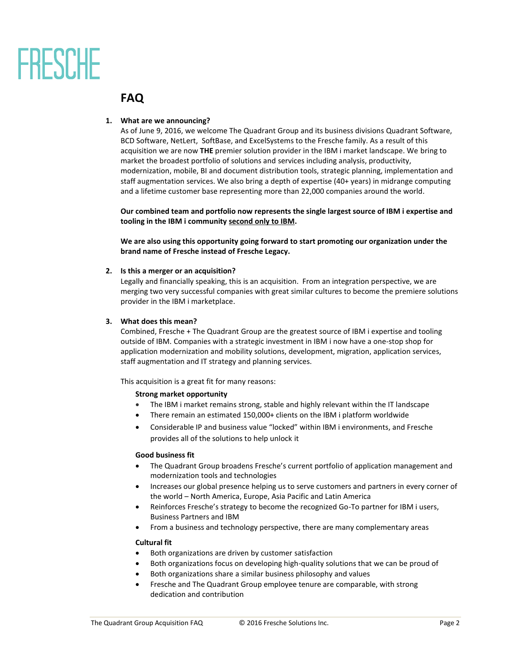# FRESCHE

### **FAQ**

#### **1. What are we announcing?**

As of June 9, 2016, we welcome The Quadrant Group and its business divisions Quadrant Software, BCD Software, NetLert, SoftBase, and ExcelSystems to the Fresche family. As a result of this acquisition we are now **THE** premier solution provider in the IBM i market landscape. We bring to market the broadest portfolio of solutions and services including analysis, productivity, modernization, mobile, BI and document distribution tools, strategic planning, implementation and staff augmentation services. We also bring a depth of expertise (40+ years) in midrange computing and a lifetime customer base representing more than 22,000 companies around the world.

**Our combined team and portfolio now represents the single largest source of IBM i expertise and tooling in the IBM i community second only to IBM.**

**We are also using this opportunity going forward to start promoting our organization under the brand name of Fresche instead of Fresche Legacy.** 

#### **2. Is this a merger or an acquisition?**

Legally and financially speaking, this is an acquisition. From an integration perspective, we are merging two very successful companies with great similar cultures to become the premiere solutions provider in the IBM i marketplace.

#### **3. What does this mean?**

Combined, Fresche + The Quadrant Group are the greatest source of IBM i expertise and tooling outside of IBM. Companies with a strategic investment in IBM i now have a one-stop shop for application modernization and mobility solutions, development, migration, application services, staff augmentation and IT strategy and planning services.

This acquisition is a great fit for many reasons:

#### **Strong market opportunity**

- The IBM i market remains strong, stable and highly relevant within the IT landscape
- There remain an estimated 150,000+ clients on the IBM i platform worldwide
- Considerable IP and business value "locked" within IBM i environments, and Fresche provides all of the solutions to help unlock it

#### **Good business fit**

- The Quadrant Group broadens Fresche's current portfolio of application management and modernization tools and technologies
- Increases our global presence helping us to serve customers and partners in every corner of the world – North America, Europe, Asia Pacific and Latin America
- Reinforces Fresche's strategy to become the recognized Go-To partner for IBM i users, Business Partners and IBM
- From a business and technology perspective, there are many complementary areas

#### **Cultural fit**

- Both organizations are driven by customer satisfaction
- Both organizations focus on developing high-quality solutions that we can be proud of
- Both organizations share a similar business philosophy and values
- Fresche and The Quadrant Group employee tenure are comparable, with strong dedication and contribution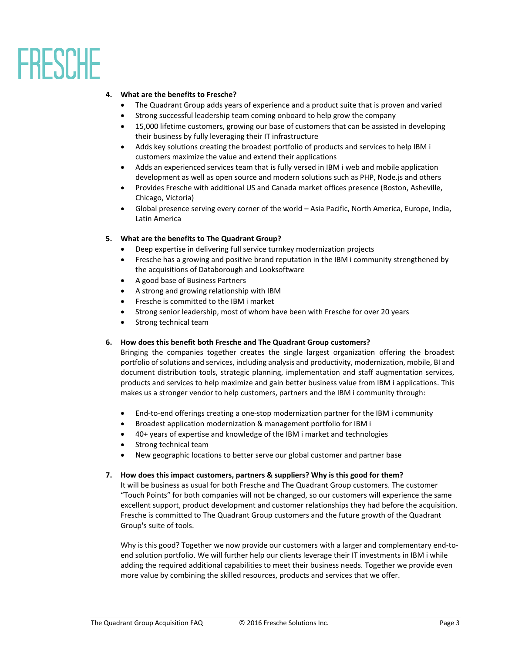# FRESCHE

#### **4. What are the benefits to Fresche?**

- The Quadrant Group adds years of experience and a product suite that is proven and varied
- Strong successful leadership team coming onboard to help grow the company
- 15,000 lifetime customers, growing our base of customers that can be assisted in developing their business by fully leveraging their IT infrastructure
- Adds key solutions creating the broadest portfolio of products and services to help IBM i customers maximize the value and extend their applications
- Adds an experienced services team that is fully versed in IBM i web and mobile application development as well as open source and modern solutions such as PHP, Node.js and others
- Provides Fresche with additional US and Canada market offices presence (Boston, Asheville, Chicago, Victoria)
- Global presence serving every corner of the world Asia Pacific, North America, Europe, India, Latin America

#### **5. What are the benefits to The Quadrant Group?**

- Deep expertise in delivering full service turnkey modernization projects
- Fresche has a growing and positive brand reputation in the IBM i community strengthened by the acquisitions of Databorough and Looksoftware
- A good base of Business Partners
- A strong and growing relationship with IBM
- Fresche is committed to the IBM i market
- Strong senior leadership, most of whom have been with Fresche for over 20 years
- Strong technical team
- **6. How does this benefit both Fresche and The Quadrant Group customers?**

Bringing the companies together creates the single largest organization offering the broadest portfolio of solutions and services, including analysis and productivity, modernization, mobile, BI and document distribution tools, strategic planning, implementation and staff augmentation services, products and services to help maximize and gain better business value from IBM i applications. This makes us a stronger vendor to help customers, partners and the IBM i community through:

- End-to-end offerings creating a one-stop modernization partner for the IBM i community
- Broadest application modernization & management portfolio for IBM i
- 40+ years of expertise and knowledge of the IBM i market and technologies
- Strong technical team
- New geographic locations to better serve our global customer and partner base

#### **7. How does this impact customers, partners & suppliers? Why is this good for them?**

It will be business as usual for both Fresche and The Quadrant Group customers. The customer "Touch Points" for both companies will not be changed, so our customers will experience the same excellent support, product development and customer relationships they had before the acquisition. Fresche is committed to The Quadrant Group customers and the future growth of the Quadrant Group's suite of tools.

Why is this good? Together we now provide our customers with a larger and complementary end-toend solution portfolio. We will further help our clients leverage their IT investments in IBM i while adding the required additional capabilities to meet their business needs. Together we provide even more value by combining the skilled resources, products and services that we offer.